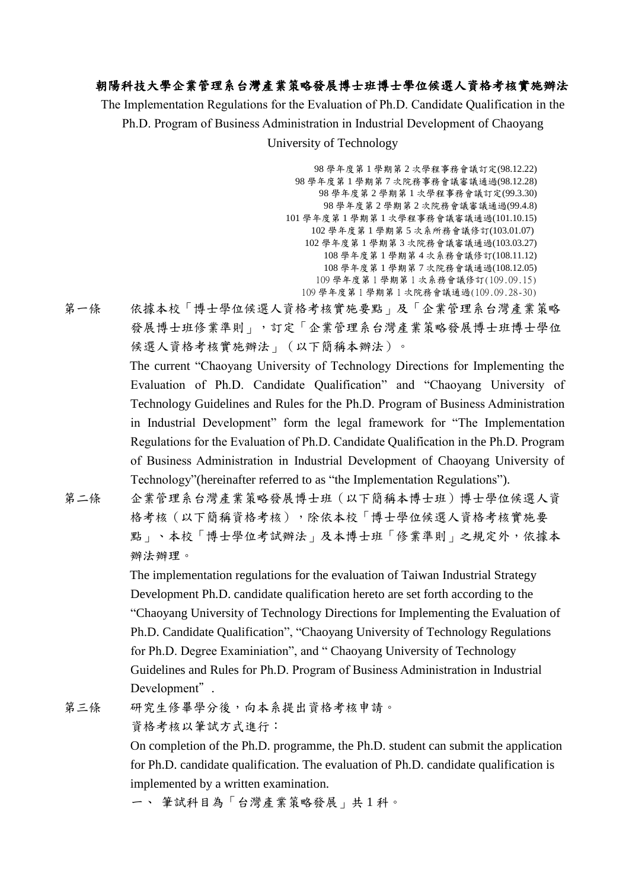## 朝陽科技大學企業管理系台灣產業策略發展博士班博士學位候選人資格考核實施辦法

The Implementation Regulations for the Evaluation of Ph.D. Candidate Qualification in the Ph.D. Program of Business Administration in Industrial Development of Chaoyang University of Technology

> 學年度第 1 學期第 2 次學程事務會議訂定(98.12.22) 學年度第 1 學期第 7 次院務事務會議審議通過(98.12.28) 學年度第 2 學期第 1 次學程事務會議訂定(99.3.30) 學年度第 2 學期第 2 次院務會議審議通過(99.4.8) 學年度第 1 學期第 1 次學程事務會議審議通過(101.10.15) 學年度第 1 學期第 5 次系所務會議修訂(103.01.07) 學年度第 1 學期第 3 次院務會議審議通過(103.03.27) 學年度第 1 學期第 4 次系務會議修訂(108.11.12) 學年度第 1 學期第 7 次院務會議通過(108.12.05) 學年度第 1 學期第 1 次系務會議修訂(109.09.15) 學年度第 1 學期第 1 次院務會議通過(109.09.28-30)

第一條 依據本校「博士學位候選人資格考核實施要點」及「企業管理系台灣產業策略 發展博士班修業準則」,訂定「企業管理系台灣產業策略發展博士班博士學位 候選人資格考核實施辦法」(以下簡稱本辦法)。

> The current "Chaoyang University of Technology Directions for Implementing the Evaluation of Ph.D. Candidate Qualification" and "Chaoyang University of Technology Guidelines and Rules for the Ph.D. Program of Business Administration in Industrial Development" form the legal framework for "The Implementation Regulations for the Evaluation of Ph.D. Candidate Qualification in the Ph.D. Program of Business Administration in Industrial Development of Chaoyang University of Technology"(hereinafter referred to as "the Implementation Regulations").

第二條 企業管理系台灣產業策略發展博士班(以下簡稱本博士班)博士學位候選人資 格考核(以下簡稱資格考核),除依本校「博士學位候選人資格考核實施要 點」、本校「博士學位考試辦法」及本博士班「修業準則」之規定外,依據本 辦法辦理。

> The implementation regulations for the evaluation of Taiwan Industrial Strategy Development Ph.D. candidate qualification hereto are set forth according to the "Chaoyang University of Technology Directions for Implementing the Evaluation of Ph.D. Candidate Qualification", "Chaoyang University of Technology Regulations for Ph.D. Degree Examiniation", and " Chaoyang University of Technology Guidelines and Rules for Ph.D. Program of Business Administration in Industrial Development".

第三條 研究生修畢學分後,向本系提出資格考核申請。

資格考核以筆試方式進行:

On completion of the Ph.D. programme, the Ph.D. student can submit the application for Ph.D. candidate qualification. The evaluation of Ph.D. candidate qualification is implemented by a written examination.

一、 筆試科目為「台灣產業策略發展」共 1 科。